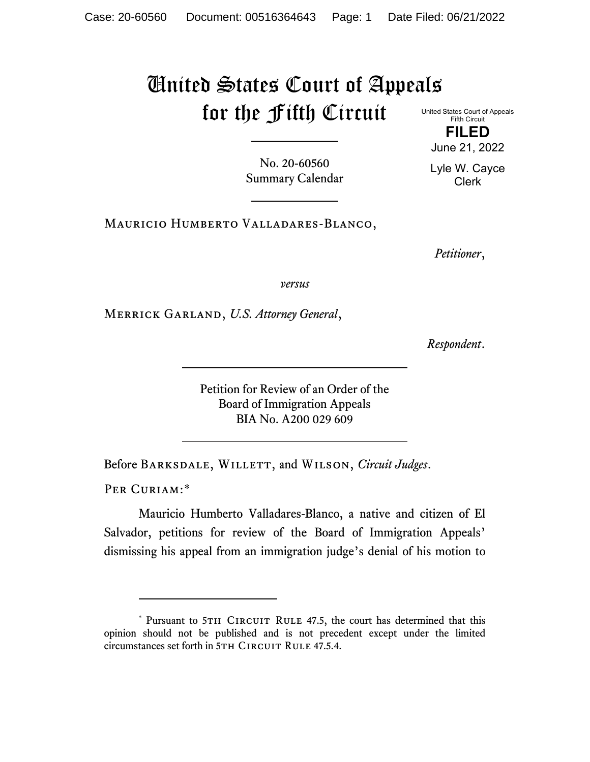## United States Court of Appeals for the Fifth Circuit

United States Court of Appeals Fifth Circuit **FILED**

No. 20-60560 Summary Calendar Lyle W. Cayce Clerk

June 21, 2022

Mauricio Humberto Valladares-Blanco,

*Petitioner*,

*versus*

Merrick Garland, *U.S. Attorney General*,

*Respondent*.

Petition for Review of an Order of the Board of Immigration Appeals BIA No. A200 029 609

Before Barksdale, Willett, and Wilson, *Circuit Judges*.

PER CURIAM:[\\*](#page-0-0)

Mauricio Humberto Valladares-Blanco, a native and citizen of El Salvador, petitions for review of the Board of Immigration Appeals' dismissing his appeal from an immigration judge's denial of his motion to

<span id="page-0-0"></span><sup>\*</sup> Pursuant to 5TH CIRCUIT RULE 47.5, the court has determined that this opinion should not be published and is not precedent except under the limited circumstances set forth in 5TH CIRCUIT RULE 47.5.4.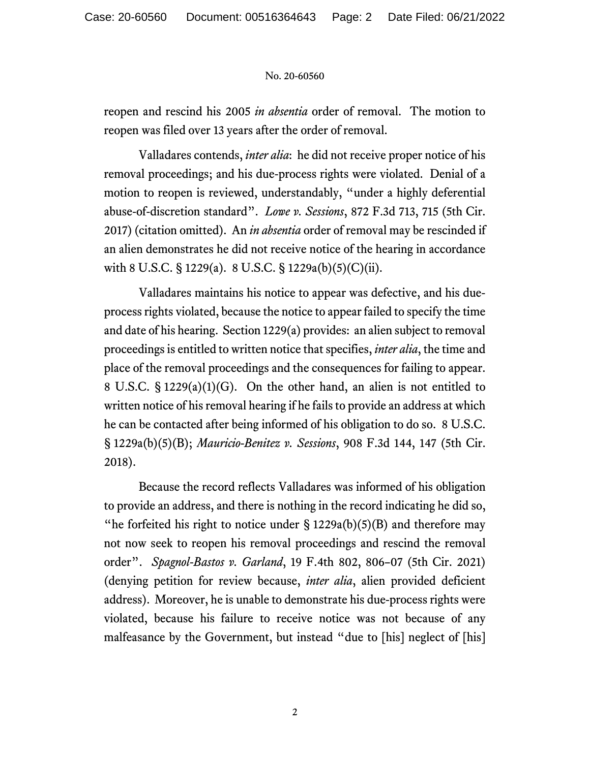## No. 20-60560

reopen and rescind his 2005 *in absentia* order of removal. The motion to reopen was filed over 13 years after the order of removal.

Valladares contends, *inter alia*: he did not receive proper notice of his removal proceedings; and his due-process rights were violated. Denial of a motion to reopen is reviewed, understandably, "under a highly deferential abuse-of-discretion standard". *Lowe v. Sessions*, 872 F.3d 713, 715 (5th Cir. 2017) (citation omitted). An *in absentia* order of removal may be rescinded if an alien demonstrates he did not receive notice of the hearing in accordance with 8 U.S.C. § 1229(a). 8 U.S.C. § 1229a(b)(5)(C)(ii).

Valladares maintains his notice to appear was defective, and his dueprocess rights violated, because the notice to appear failed to specify the time and date of his hearing. Section 1229(a) provides: an alien subject to removal proceedings is entitled to written notice that specifies, *inter alia*, the time and place of the removal proceedings and the consequences for failing to appear. 8 U.S.C. § 1229(a)(1)(G). On the other hand, an alien is not entitled to written notice of his removal hearing if he fails to provide an address at which he can be contacted after being informed of his obligation to do so. 8 U.S.C. § 1229a(b)(5)(B); *Mauricio-Benitez v. Sessions*, 908 F.3d 144, 147 (5th Cir. 2018).

Because the record reflects Valladares was informed of his obligation to provide an address, and there is nothing in the record indicating he did so, "he forfeited his right to notice under  $\S 1229a(b)(5)(B)$  and therefore may not now seek to reopen his removal proceedings and rescind the removal order". *Spagnol-Bastos v. Garland*, 19 F.4th 802, 806–07 (5th Cir. 2021) (denying petition for review because, *inter alia*, alien provided deficient address). Moreover, he is unable to demonstrate his due-process rights were violated, because his failure to receive notice was not because of any malfeasance by the Government, but instead "due to [his] neglect of [his]